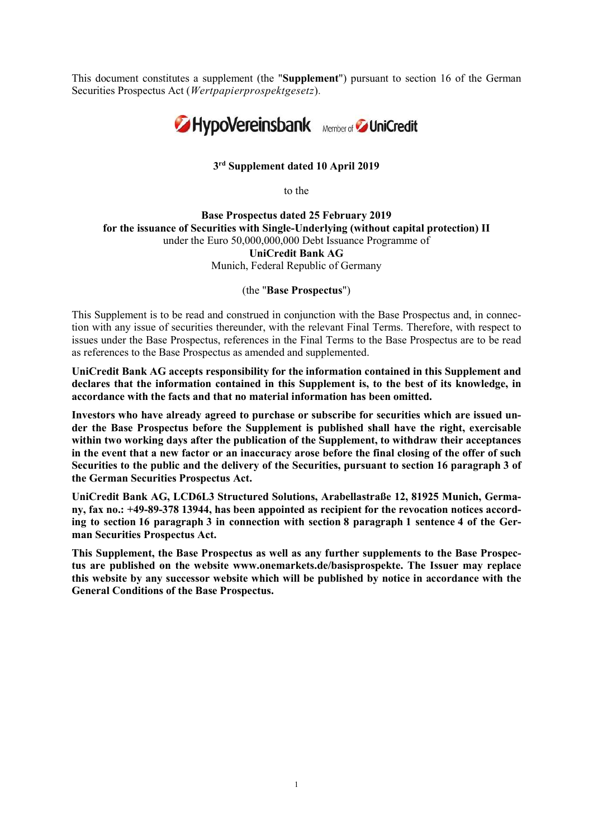This document constitutes a supplement (the "Supplement") pursuant to section 16 of the German Securities Prospectus Act (Wertpapierprospektgesetz).



## 3 rd Supplement dated 10 April 2019

to the

Base Prospectus dated 25 February 2019 for the issuance of Securities with Single-Underlying (without capital protection) II under the Euro 50,000,000,000 Debt Issuance Programme of UniCredit Bank AG Munich, Federal Republic of Germany

(the "Base Prospectus")

This Supplement is to be read and construed in conjunction with the Base Prospectus and, in connection with any issue of securities thereunder, with the relevant Final Terms. Therefore, with respect to issues under the Base Prospectus, references in the Final Terms to the Base Prospectus are to be read as references to the Base Prospectus as amended and supplemented.

UniCredit Bank AG accepts responsibility for the information contained in this Supplement and declares that the information contained in this Supplement is, to the best of its knowledge, in accordance with the facts and that no material information has been omitted.

Investors who have already agreed to purchase or subscribe for securities which are issued under the Base Prospectus before the Supplement is published shall have the right, exercisable within two working days after the publication of the Supplement, to withdraw their acceptances in the event that a new factor or an inaccuracy arose before the final closing of the offer of such Securities to the public and the delivery of the Securities, pursuant to section 16 paragraph 3 of the German Securities Prospectus Act.

UniCredit Bank AG, LCD6L3 Structured Solutions, Arabellastraße 12, 81925 Munich, Germany, fax no.: +49-89-378 13944, has been appointed as recipient for the revocation notices according to section 16 paragraph 3 in connection with section 8 paragraph 1 sentence 4 of the German Securities Prospectus Act.

This Supplement, the Base Prospectus as well as any further supplements to the Base Prospectus are published on the website www.onemarkets.de/basisprospekte. The Issuer may replace this website by any successor website which will be published by notice in accordance with the General Conditions of the Base Prospectus.